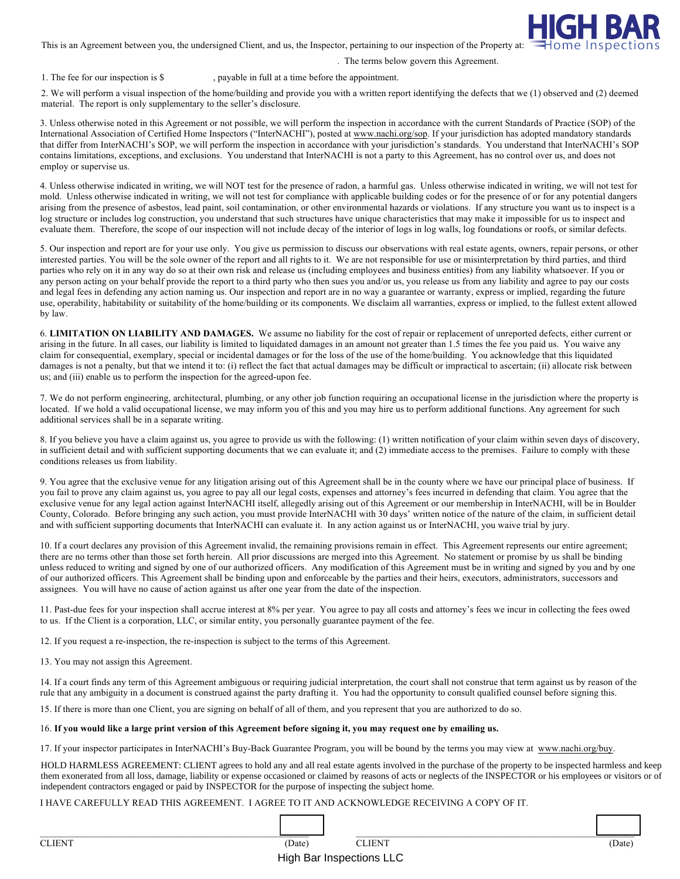

This is an Agreement between you, the undersigned Client, and us, the Inspector, pertaining to our inspection of the Property at:

## . The terms below govern this Agreement.

1. The fee for our inspection is \$ , payable in full at a time before the appointment.

2. We will perform a visual inspection of the home/building and provide you with a written report identifying the defects that we (1) observed and (2) deemed material. The report is only supplementary to the seller's disclosure.

3. Unless otherwise noted in this Agreement or not possible, we will perform the inspection in accordance with the current Standards of Practice (SOP) of the International Association of Certified Home Inspectors ("InterNACHI"), posted at www.nachi.org/sop. If your jurisdiction has adopted mandatory standards that differ from InterNACHI's SOP, we will perform the inspection in accordance with your jurisdiction's standards. You understand that InterNACHI's SOP contains limitations, exceptions, and exclusions. You understand that InterNACHI is not a party to this Agreement, has no control over us, and does not employ or supervise us.

4. Unless otherwise indicated in writing, we will NOT test for the presence of radon, a harmful gas. Unless otherwise indicated in writing, we will not test for mold. Unless otherwise indicated in writing, we will not test for compliance with applicable building codes or for the presence of or for any potential dangers arising from the presence of asbestos, lead paint, soil contamination, or other environmental hazards or violations. If any structure you want us to inspect is a log structure or includes log construction, you understand that such structures have unique characteristics that may make it impossible for us to inspect and evaluate them. Therefore, the scope of our inspection will not include decay of the interior of logs in log walls, log foundations or roofs, or similar defects.

5. Our inspection and report are for your use only. You give us permission to discuss our observations with real estate agents, owners, repair persons, or other interested parties. You will be the sole owner of the report and all rights to it. We are not responsible for use or misinterpretation by third parties, and third parties who rely on it in any way do so at their own risk and release us (including employees and business entities) from any liability whatsoever. If you or any person acting on your behalf provide the report to a third party who then sues you and/or us, you release us from any liability and agree to pay our costs and legal fees in defending any action naming us. Our inspection and report are in no way a guarantee or warranty, express or implied, regarding the future use, operability, habitability or suitability of the home/building or its components. We disclaim all warranties, express or implied, to the fullest extent allowed by law.

6. **LIMITATION ON LIABILITY AND DAMAGES.** We assume no liability for the cost of repair or replacement of unreported defects, either current or arising in the future. In all cases, our liability is limited to liquidated damages in an amount not greater than 1.5 times the fee you paid us. You waive any claim for consequential, exemplary, special or incidental damages or for the loss of the use of the home/building. You acknowledge that this liquidated damages is not a penalty, but that we intend it to: (i) reflect the fact that actual damages may be difficult or impractical to ascertain; (ii) allocate risk between us; and (iii) enable us to perform the inspection for the agreed-upon fee.

7. We do not perform engineering, architectural, plumbing, or any other job function requiring an occupational license in the jurisdiction where the property is located. If we hold a valid occupational license, we may inform you of this and you may hire us to perform additional functions. Any agreement for such additional services shall be in a separate writing.

8. If you believe you have a claim against us, you agree to provide us with the following: (1) written notification of your claim within seven days of discovery, in sufficient detail and with sufficient supporting documents that we can evaluate it; and (2) immediate access to the premises. Failure to comply with these conditions releases us from liability.

9. You agree that the exclusive venue for any litigation arising out of this Agreement shall be in the county where we have our principal place of business. If you fail to prove any claim against us, you agree to pay all our legal costs, expenses and attorney's fees incurred in defending that claim. You agree that the exclusive venue for any legal action against InterNACHI itself, allegedly arising out of this Agreement or our membership in InterNACHI, will be in Boulder County, Colorado. Before bringing any such action, you must provide InterNACHI with 30 days' written notice of the nature of the claim, in sufficient detail and with sufficient supporting documents that InterNACHI can evaluate it. In any action against us or InterNACHI, you waive trial by jury.

10. If a court declares any provision of this Agreement invalid, the remaining provisions remain in effect. This Agreement represents our entire agreement; there are no terms other than those set forth herein. All prior discussions are merged into this Agreement. No statement or promise by us shall be binding unless reduced to writing and signed by one of our authorized officers. Any modification of this Agreement must be in writing and signed by you and by one of our authorized officers. This Agreement shall be binding upon and enforceable by the parties and their heirs, executors, administrators, successors and assignees. You will have no cause of action against us after one year from the date of the inspection.

11. Past-due fees for your inspection shall accrue interest at 8% per year. You agree to pay all costs and attorney's fees we incur in collecting the fees owed to us. If the Client is a corporation, LLC, or similar entity, you personally guarantee payment of the fee.

12. If you request a re-inspection, the re-inspection is subject to the terms of this Agreement.

13. You may not assign this Agreement.

14. If a court finds any term of this Agreement ambiguous or requiring judicial interpretation, the court shall not construe that term against us by reason of the rule that any ambiguity in a document is construed against the party drafting it. You had the opportunity to consult qualified counsel before signing this.

15. If there is more than one Client, you are signing on behalf of all of them, and you represent that you are authorized to do so.

## 16. **If you would like a large print version of this Agreement before signing it, you may request one by emailing us.**

17. If your inspector participates in InterNACHI's Buy-Back Guarantee Program, you will be bound by the terms you may view at www.nachi.org/buy.

HOLD HARMLESS AGREEMENT: CLIENT agrees to hold any and all real estate agents involved in the purchase of the property to be inspected harmless and keep them exonerated from all loss, damage, liability or expense occasioned or claimed by reasons of acts or neglects of the INSPECTOR or his employees or visitors or of independent contractors engaged or paid by INSPECTOR for the purpose of inspecting the subject home.

I HAVE CAREFULLY READ THIS AGREEMENT. I AGREE TO IT AND ACKNOWLEDGE RECEIVING A COPY OF IT.

| $C$ I IEMT | Date <sup>'</sup> | $ +$ $ +$ $ -$ | Date <sup>'</sup> |
|------------|-------------------|----------------|-------------------|

High Bar Inspections LLC